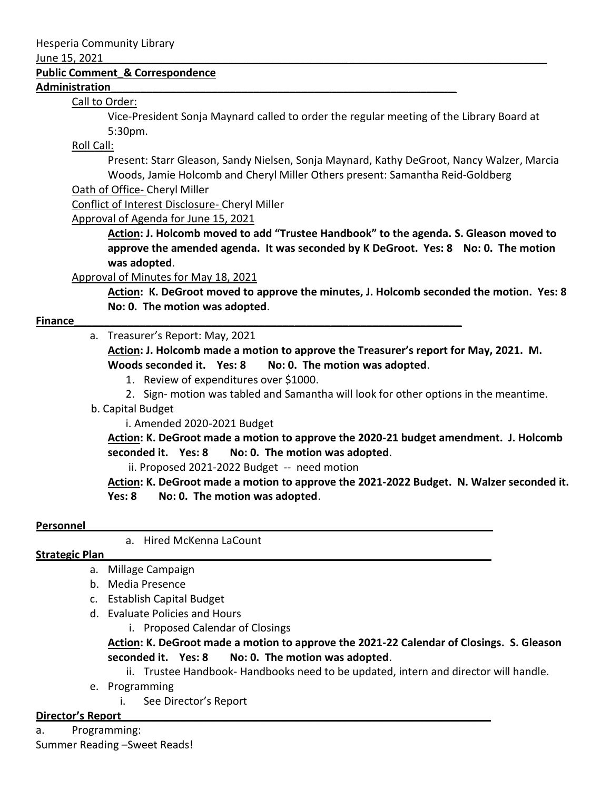#### June 15, 2021

#### **Public Comment\_& Correspondence**

#### **Administration\_\_\_\_\_\_\_\_\_\_\_\_\_\_\_\_\_\_\_\_\_\_\_\_\_\_\_\_\_\_\_\_\_\_\_\_\_\_\_\_\_\_\_\_\_\_\_\_\_\_\_\_\_\_\_\_\_\_**

## Call to Order:

Vice-President Sonja Maynard called to order the regular meeting of the Library Board at 5:30pm.

# Roll Call:

Present: Starr Gleason, Sandy Nielsen, Sonja Maynard, Kathy DeGroot, Nancy Walzer, Marcia Woods, Jamie Holcomb and Cheryl Miller Others present: Samantha Reid-Goldberg

## Oath of Office- Cheryl Miller

Conflict of Interest Disclosure- Cheryl Miller

Approval of Agenda for June 15, 2021

**Action: J. Holcomb moved to add "Trustee Handbook" to the agenda. S. Gleason moved to approve the amended agenda. It was seconded by K DeGroot. Yes: 8 No: 0. The motion was adopted**.

# Approval of Minutes for May 18, 2021

**Action: K. DeGroot moved to approve the minutes, J. Holcomb seconded the motion. Yes: 8 No: 0. The motion was adopted**.

## **Finance Example 20 and 20 and 20 and 20 and 20 and 20 and 20 and 20 and 20 and 20 and 20 and 20 and 20 and 20 and 20 and 20 and 20 and 20 and 20 and 20 and 20 and 20 and 20 and 20 and 20 and 20 and 20 and 20 and 20 and**

## a. Treasurer's Report: May, 2021

**Action: J. Holcomb made a motion to approve the Treasurer's report for May, 2021. M. Woods seconded it. Yes: 8 No: 0. The motion was adopted**.

- 1. Review of expenditures over \$1000.
- 2. Sign- motion was tabled and Samantha will look for other options in the meantime.
- b. Capital Budget

i. Amended 2020-2021 Budget

**Action: K. DeGroot made a motion to approve the 2020-21 budget amendment. J. Holcomb seconded it. Yes: 8 No: 0. The motion was adopted**.

ii. Proposed 2021-2022 Budget -- need motion

**Action: K. DeGroot made a motion to approve the 2021-2022 Budget. N. Walzer seconded it. Yes: 8 No: 0. The motion was adopted**.

## **Personnel**

a. Hired McKenna LaCount

# **Strategic Plan\_\_\_\_\_\_\_\_\_\_\_\_\_\_\_\_\_\_\_\_\_\_\_\_\_\_\_\_\_\_\_\_\_\_\_\_\_\_\_\_\_\_\_\_\_\_\_\_\_\_\_\_\_\_\_\_\_\_\_\_\_\_\_\_\_**

- a. Millage Campaign
- b. Media Presence
- c. Establish Capital Budget
- d. Evaluate Policies and Hours
	- i. Proposed Calendar of Closings

**Action: K. DeGroot made a motion to approve the 2021-22 Calendar of Closings. S. Gleason seconded it. Yes: 8 No: 0. The motion was adopted**.

ii. Trustee Handbook- Handbooks need to be updated, intern and director will handle.

- e. Programming
	- i. See Director's Report

## **Director's Report\_\_\_\_\_\_\_\_\_\_\_\_\_\_\_\_\_\_\_\_\_\_\_\_\_\_\_\_\_\_\_\_\_\_\_\_\_\_\_\_\_\_\_\_\_\_\_\_\_\_\_\_\_\_\_\_\_\_\_\_\_\_**

a. Programming: Summer Reading –Sweet Reads!